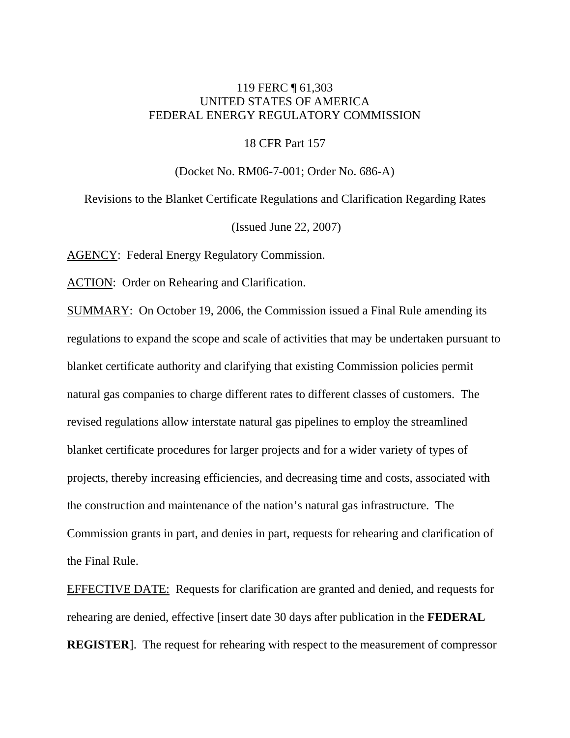# 119 FERC ¶ 61,303 UNITED STATES OF AMERICA FEDERAL ENERGY REGULATORY COMMISSION

18 CFR Part 157

(Docket No. RM06-7-001; Order No. 686-A)

Revisions to the Blanket Certificate Regulations and Clarification Regarding Rates (Issued June 22, 2007)

AGENCY: Federal Energy Regulatory Commission.

ACTION: Order on Rehearing and Clarification.

SUMMARY: On October 19, 2006, the Commission issued a Final Rule amending its regulations to expand the scope and scale of activities that may be undertaken pursuant to blanket certificate authority and clarifying that existing Commission policies permit natural gas companies to charge different rates to different classes of customers. The revised regulations allow interstate natural gas pipelines to employ the streamlined blanket certificate procedures for larger projects and for a wider variety of types of projects, thereby increasing efficiencies, and decreasing time and costs, associated with the construction and maintenance of the nation's natural gas infrastructure. The Commission grants in part, and denies in part, requests for rehearing and clarification of the Final Rule.

EFFECTIVE DATE: Requests for clarification are granted and denied, and requests for rehearing are denied, effective [insert date 30 days after publication in the **FEDERAL REGISTER**]. The request for rehearing with respect to the measurement of compressor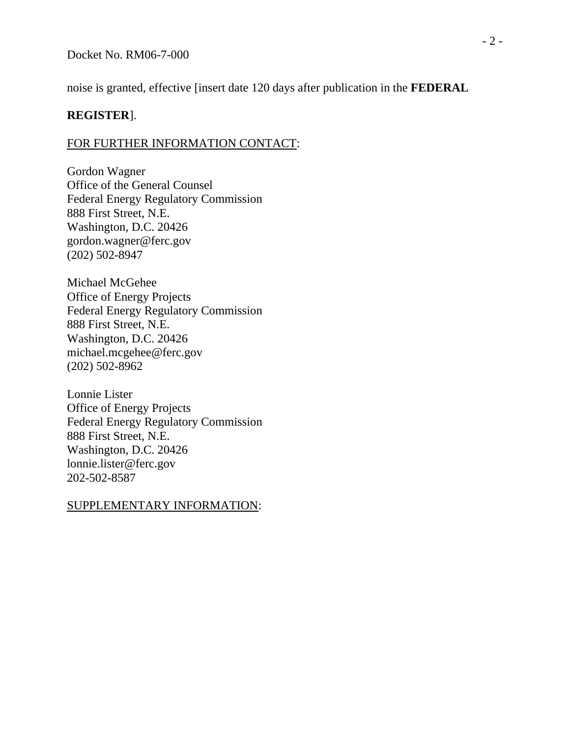noise is granted, effective [insert date 120 days after publication in the **FEDERAL** 

# **REGISTER**].

# FOR FURTHER INFORMATION CONTACT:

Gordon Wagner Office of the General Counsel Federal Energy Regulatory Commission 888 First Street, N.E. Washington, D.C. 20426 gordon.wagner@ferc.gov (202) 502-8947

Michael McGehee Office of Energy Projects Federal Energy Regulatory Commission 888 First Street, N.E. Washington, D.C. 20426 michael.mcgehee@ferc.gov (202) 502-8962

Lonnie Lister Office of Energy Projects Federal Energy Regulatory Commission 888 First Street, N.E. Washington, D.C. 20426 lonnie.lister@ferc.gov 202-502-8587

# SUPPLEMENTARY INFORMATION: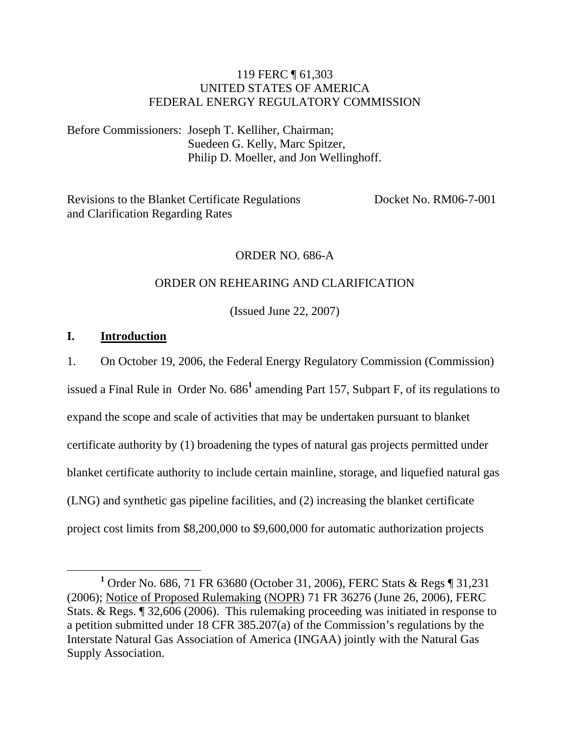# 119 FERC ¶ 61,303 UNITED STATES OF AMERICA FEDERAL ENERGY REGULATORY COMMISSION

Before Commissioners: Joseph T. Kelliher, Chairman; Suedeen G. Kelly, Marc Spitzer, Philip D. Moeller, and Jon Wellinghoff.

Revisions to the Blanket Certificate Regulations Docket No. RM06-7-001 and Clarification Regarding Rates

#### ORDER NO. 686-A

#### ORDER ON REHEARING AND CLARIFICATION

(Issued June 22, 2007)

#### **I. Introduction**

1. On October 19, 2006, the Federal Energy Regulatory Commission (Commission)

issued a Final Rule in Order No. 686<sup>1</sup> amending Part 157, Subpart F, of its regulations to expand the scope and scale of activities that may be undertaken pursuant to blanket certificate authority by (1) broadening the types of natural gas projects permitted under blanket certificate authority to include certain mainline, storage, and liquefied natural gas (LNG) and synthetic gas pipeline facilities, and (2) increasing the blanket certificate project cost limits from \$8,200,000 to \$9,600,000 for automatic authorization projects

<sup>&</sup>lt;u>1</u> <sup>1</sup> Order No. 686, 71 FR 63680 (October 31, 2006), FERC Stats & Regs [ 31, 231 (2006); Notice of Proposed Rulemaking (NOPR) 71 FR 36276 (June 26, 2006), FERC Stats. & Regs. ¶ 32,606 (2006). This rulemaking proceeding was initiated in response to a petition submitted under 18 CFR 385.207(a) of the Commission's regulations by the Interstate Natural Gas Association of America (INGAA) jointly with the Natural Gas Supply Association.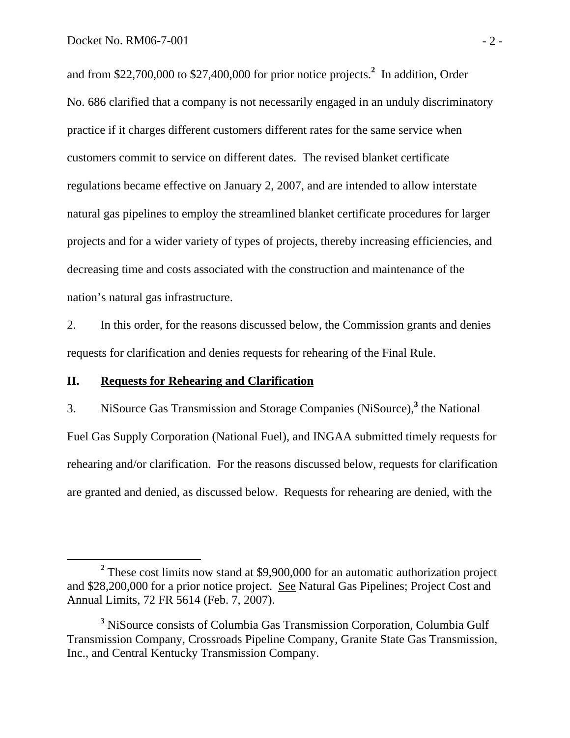and from \$22,700,000 to \$27,400,000 for prior notice projects.**<sup>2</sup>** In addition, Order No. 686 clarified that a company is not necessarily engaged in an unduly discriminatory practice if it charges different customers different rates for the same service when customers commit to service on different dates. The revised blanket certificate regulations became effective on January 2, 2007, and are intended to allow interstate natural gas pipelines to employ the streamlined blanket certificate procedures for larger projects and for a wider variety of types of projects, thereby increasing efficiencies, and decreasing time and costs associated with the construction and maintenance of the nation's natural gas infrastructure.

2. In this order, for the reasons discussed below, the Commission grants and denies requests for clarification and denies requests for rehearing of the Final Rule.

## **II. Requests for Rehearing and Clarification**

3. NiSource Gas Transmission and Storage Companies (NiSource),**<sup>3</sup>** the National Fuel Gas Supply Corporation (National Fuel), and INGAA submitted timely requests for rehearing and/or clarification. For the reasons discussed below, requests for clarification are granted and denied, as discussed below. Requests for rehearing are denied, with the

**<sup>2</sup>** <sup>2</sup> These cost limits now stand at \$9,900,000 for an automatic authorization project and \$28,200,000 for a prior notice project. See Natural Gas Pipelines; Project Cost and Annual Limits, 72 FR 5614 (Feb. 7, 2007).

**<sup>3</sup>** NiSource consists of Columbia Gas Transmission Corporation, Columbia Gulf Transmission Company, Crossroads Pipeline Company, Granite State Gas Transmission, Inc., and Central Kentucky Transmission Company.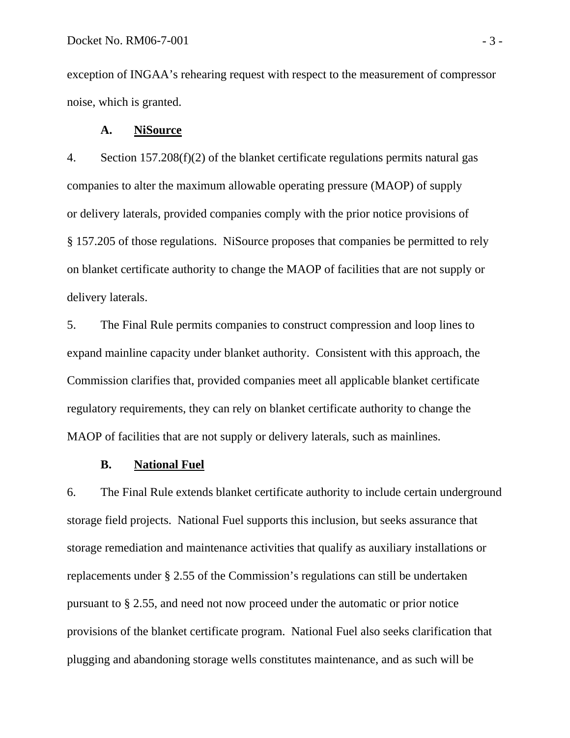exception of INGAA's rehearing request with respect to the measurement of compressor noise, which is granted.

#### **A. NiSource**

4. Section 157.208(f)(2) of the blanket certificate regulations permits natural gas companies to alter the maximum allowable operating pressure (MAOP) of supply or delivery laterals, provided companies comply with the prior notice provisions of § 157.205 of those regulations. NiSource proposes that companies be permitted to rely on blanket certificate authority to change the MAOP of facilities that are not supply or delivery laterals.

5. The Final Rule permits companies to construct compression and loop lines to expand mainline capacity under blanket authority. Consistent with this approach, the Commission clarifies that, provided companies meet all applicable blanket certificate regulatory requirements, they can rely on blanket certificate authority to change the MAOP of facilities that are not supply or delivery laterals, such as mainlines.

#### **B. National Fuel**

6. The Final Rule extends blanket certificate authority to include certain underground storage field projects. National Fuel supports this inclusion, but seeks assurance that storage remediation and maintenance activities that qualify as auxiliary installations or replacements under § 2.55 of the Commission's regulations can still be undertaken pursuant to § 2.55, and need not now proceed under the automatic or prior notice provisions of the blanket certificate program. National Fuel also seeks clarification that plugging and abandoning storage wells constitutes maintenance, and as such will be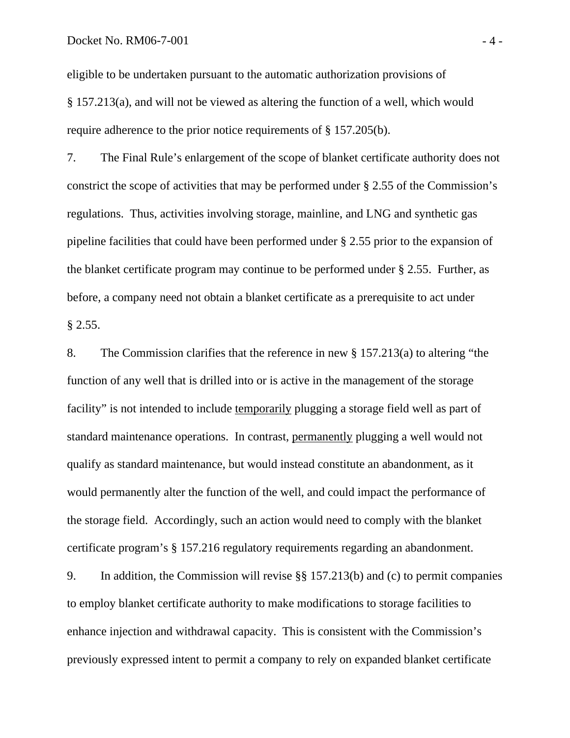eligible to be undertaken pursuant to the automatic authorization provisions of § 157.213(a), and will not be viewed as altering the function of a well, which would require adherence to the prior notice requirements of § 157.205(b).

7. The Final Rule's enlargement of the scope of blanket certificate authority does not constrict the scope of activities that may be performed under § 2.55 of the Commission's regulations. Thus, activities involving storage, mainline, and LNG and synthetic gas pipeline facilities that could have been performed under § 2.55 prior to the expansion of the blanket certificate program may continue to be performed under § 2.55. Further, as before, a company need not obtain a blanket certificate as a prerequisite to act under § 2.55.

8. The Commission clarifies that the reference in new § 157.213(a) to altering "the function of any well that is drilled into or is active in the management of the storage facility" is not intended to include temporarily plugging a storage field well as part of standard maintenance operations. In contrast, permanently plugging a well would not qualify as standard maintenance, but would instead constitute an abandonment, as it would permanently alter the function of the well, and could impact the performance of the storage field. Accordingly, such an action would need to comply with the blanket certificate program's § 157.216 regulatory requirements regarding an abandonment.

9. In addition, the Commission will revise §§ 157.213(b) and (c) to permit companies to employ blanket certificate authority to make modifications to storage facilities to enhance injection and withdrawal capacity. This is consistent with the Commission's previously expressed intent to permit a company to rely on expanded blanket certificate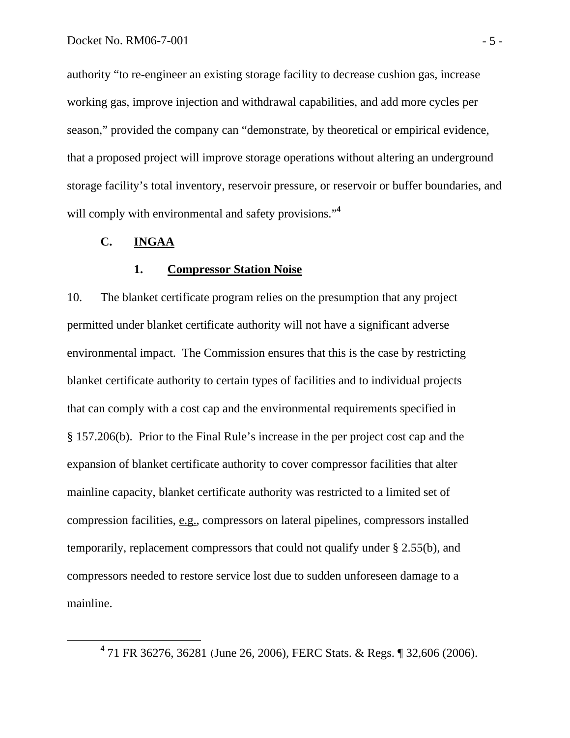authority "to re-engineer an existing storage facility to decrease cushion gas, increase working gas, improve injection and withdrawal capabilities, and add more cycles per season," provided the company can "demonstrate, by theoretical or empirical evidence, that a proposed project will improve storage operations without altering an underground storage facility's total inventory, reservoir pressure, or reservoir or buffer boundaries, and will comply with environmental and safety provisions."<sup>4</sup>

# **C. INGAA**

#### **1. Compressor Station Noise**

10. The blanket certificate program relies on the presumption that any project permitted under blanket certificate authority will not have a significant adverse environmental impact. The Commission ensures that this is the case by restricting blanket certificate authority to certain types of facilities and to individual projects that can comply with a cost cap and the environmental requirements specified in § 157.206(b). Prior to the Final Rule's increase in the per project cost cap and the expansion of blanket certificate authority to cover compressor facilities that alter mainline capacity, blanket certificate authority was restricted to a limited set of compression facilities, e.g., compressors on lateral pipelines, compressors installed temporarily, replacement compressors that could not qualify under § 2.55(b), and compressors needed to restore service lost due to sudden unforeseen damage to a mainline.

**<sup>4</sup>** 71 FR 36276, 36281 (June 26, 2006), FERC Stats. & Regs. ¶ 32,606 (2006).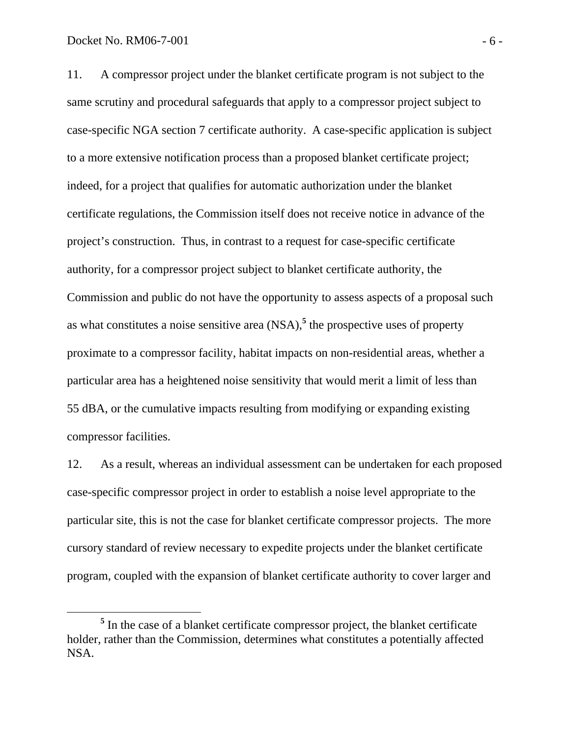11. A compressor project under the blanket certificate program is not subject to the same scrutiny and procedural safeguards that apply to a compressor project subject to case-specific NGA section 7 certificate authority. A case-specific application is subject to a more extensive notification process than a proposed blanket certificate project; indeed, for a project that qualifies for automatic authorization under the blanket certificate regulations, the Commission itself does not receive notice in advance of the project's construction. Thus, in contrast to a request for case-specific certificate authority, for a compressor project subject to blanket certificate authority, the Commission and public do not have the opportunity to assess aspects of a proposal such as what constitutes a noise sensitive area (NSA),**<sup>5</sup>** the prospective uses of property proximate to a compressor facility, habitat impacts on non-residential areas, whether a particular area has a heightened noise sensitivity that would merit a limit of less than 55 dBA, or the cumulative impacts resulting from modifying or expanding existing compressor facilities.

12. As a result, whereas an individual assessment can be undertaken for each proposed case-specific compressor project in order to establish a noise level appropriate to the particular site, this is not the case for blanket certificate compressor projects. The more cursory standard of review necessary to expedite projects under the blanket certificate program, coupled with the expansion of blanket certificate authority to cover larger and

**<sup>5</sup>** <sup>5</sup> In the case of a blanket certificate compressor project, the blanket certificate holder, rather than the Commission, determines what constitutes a potentially affected NSA.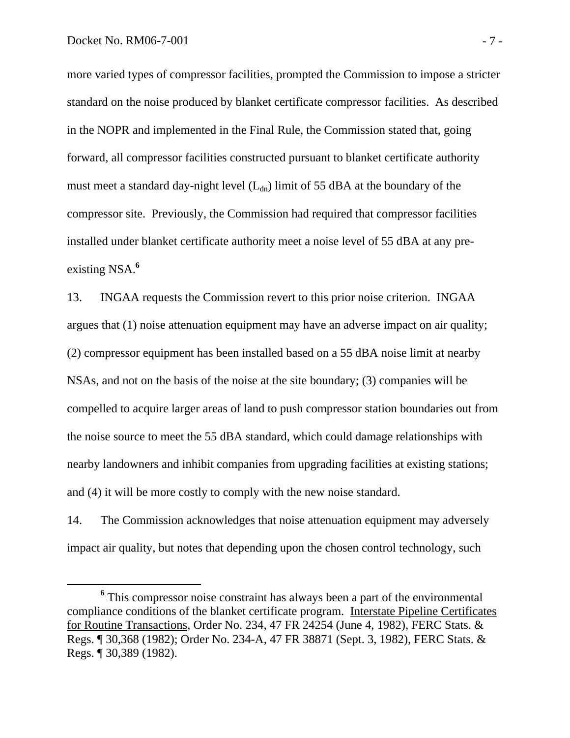more varied types of compressor facilities, prompted the Commission to impose a stricter standard on the noise produced by blanket certificate compressor facilities. As described in the NOPR and implemented in the Final Rule, the Commission stated that, going forward, all compressor facilities constructed pursuant to blanket certificate authority must meet a standard day-night level  $(L<sub>dn</sub>)$  limit of 55 dBA at the boundary of the compressor site. Previously, the Commission had required that compressor facilities installed under blanket certificate authority meet a noise level of 55 dBA at any preexisting NSA.**<sup>6</sup>**

13. INGAA requests the Commission revert to this prior noise criterion. INGAA argues that (1) noise attenuation equipment may have an adverse impact on air quality; (2) compressor equipment has been installed based on a 55 dBA noise limit at nearby NSAs, and not on the basis of the noise at the site boundary; (3) companies will be compelled to acquire larger areas of land to push compressor station boundaries out from the noise source to meet the 55 dBA standard, which could damage relationships with nearby landowners and inhibit companies from upgrading facilities at existing stations; and (4) it will be more costly to comply with the new noise standard.

14. The Commission acknowledges that noise attenuation equipment may adversely impact air quality, but notes that depending upon the chosen control technology, such

**<sup>6</sup>** <sup>6</sup> This compressor noise constraint has always been a part of the environmental compliance conditions of the blanket certificate program. Interstate Pipeline Certificates for Routine Transactions*,* Order No. 234*,* 47 FR 24254 (June 4, 1982), FERC Stats. & Regs. ¶ 30,368 (1982); Order No. 234-A, 47 FR 38871 (Sept. 3, 1982), FERC Stats. & Regs. ¶ 30,389 (1982).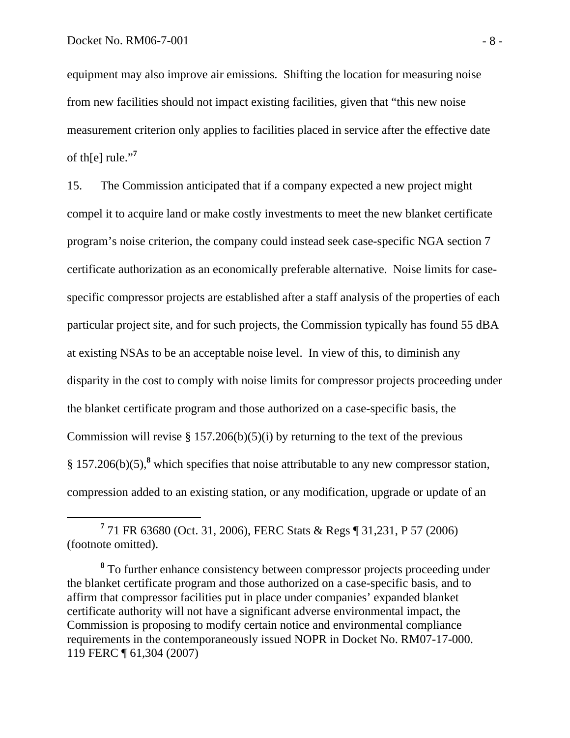equipment may also improve air emissions. Shifting the location for measuring noise from new facilities should not impact existing facilities, given that "this new noise measurement criterion only applies to facilities placed in service after the effective date of th[e] rule."**<sup>7</sup>**

15. The Commission anticipated that if a company expected a new project might compel it to acquire land or make costly investments to meet the new blanket certificate program's noise criterion, the company could instead seek case-specific NGA section 7 certificate authorization as an economically preferable alternative. Noise limits for casespecific compressor projects are established after a staff analysis of the properties of each particular project site, and for such projects, the Commission typically has found 55 dBA at existing NSAs to be an acceptable noise level. In view of this, to diminish any disparity in the cost to comply with noise limits for compressor projects proceeding under the blanket certificate program and those authorized on a case-specific basis, the Commission will revise  $\S 157.206(b)(5)(i)$  by returning to the text of the previous § 157.206(b)(5),**<sup>8</sup>** which specifies that noise attributable to any new compressor station, compression added to an existing station, or any modification, upgrade or update of an

**<sup>7</sup>** 71 FR 63680 (Oct. 31, 2006), FERC Stats & Regs ¶ 31,231, P 57 (2006) (footnote omitted).

**<sup>8</sup>** To further enhance consistency between compressor projects proceeding under the blanket certificate program and those authorized on a case-specific basis, and to affirm that compressor facilities put in place under companies' expanded blanket certificate authority will not have a significant adverse environmental impact, the Commission is proposing to modify certain notice and environmental compliance requirements in the contemporaneously issued NOPR in Docket No. RM07-17-000. 119 FERC ¶ 61,304 (2007)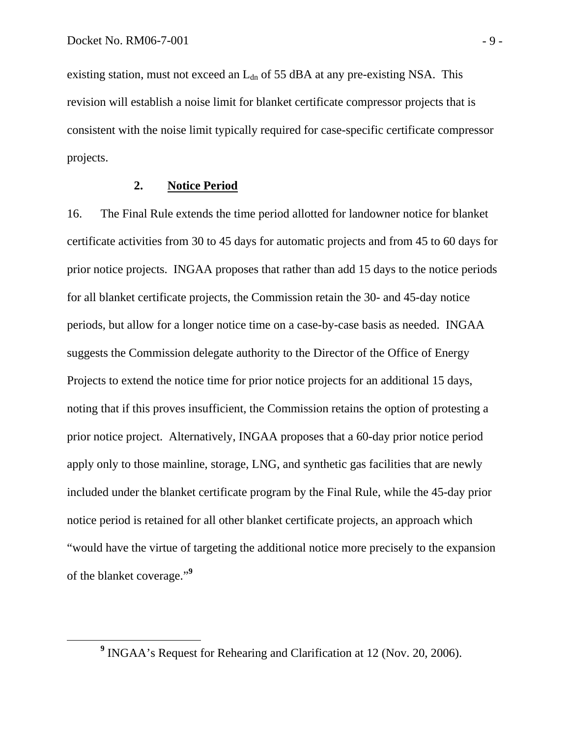existing station, must not exceed an  $L_{dn}$  of 55 dBA at any pre-existing NSA. This revision will establish a noise limit for blanket certificate compressor projects that is consistent with the noise limit typically required for case-specific certificate compressor projects.

#### **2. Notice Period**

16. The Final Rule extends the time period allotted for landowner notice for blanket certificate activities from 30 to 45 days for automatic projects and from 45 to 60 days for prior notice projects. INGAA proposes that rather than add 15 days to the notice periods for all blanket certificate projects, the Commission retain the 30- and 45-day notice periods, but allow for a longer notice time on a case-by-case basis as needed. INGAA suggests the Commission delegate authority to the Director of the Office of Energy Projects to extend the notice time for prior notice projects for an additional 15 days, noting that if this proves insufficient, the Commission retains the option of protesting a prior notice project. Alternatively, INGAA proposes that a 60-day prior notice period apply only to those mainline, storage, LNG, and synthetic gas facilities that are newly included under the blanket certificate program by the Final Rule, while the 45-day prior notice period is retained for all other blanket certificate projects, an approach which "would have the virtue of targeting the additional notice more precisely to the expansion of the blanket coverage."**<sup>9</sup>**

**<sup>9</sup>** <sup>9</sup> INGAA's Request for Rehearing and Clarification at 12 (Nov. 20, 2006).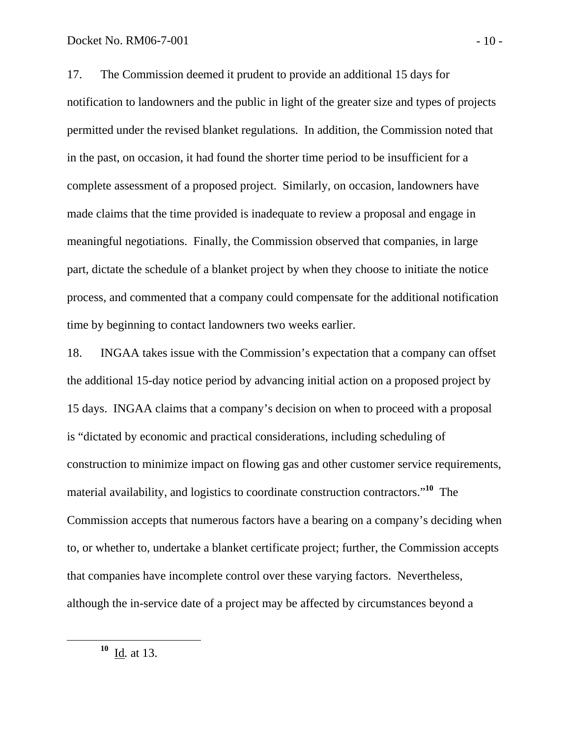17. The Commission deemed it prudent to provide an additional 15 days for notification to landowners and the public in light of the greater size and types of projects permitted under the revised blanket regulations. In addition, the Commission noted that in the past, on occasion, it had found the shorter time period to be insufficient for a complete assessment of a proposed project. Similarly, on occasion, landowners have made claims that the time provided is inadequate to review a proposal and engage in meaningful negotiations. Finally, the Commission observed that companies, in large part, dictate the schedule of a blanket project by when they choose to initiate the notice process, and commented that a company could compensate for the additional notification time by beginning to contact landowners two weeks earlier.

18. INGAA takes issue with the Commission's expectation that a company can offset the additional 15-day notice period by advancing initial action on a proposed project by 15 days. INGAA claims that a company's decision on when to proceed with a proposal is "dictated by economic and practical considerations, including scheduling of construction to minimize impact on flowing gas and other customer service requirements, material availability, and logistics to coordinate construction contractors."**<sup>10</sup>** The Commission accepts that numerous factors have a bearing on a company's deciding when to, or whether to, undertake a blanket certificate project; further, the Commission accepts that companies have incomplete control over these varying factors. Nevertheless, although the in-service date of a project may be affected by circumstances beyond a

**<sup>10</sup>** Id*.* at 13.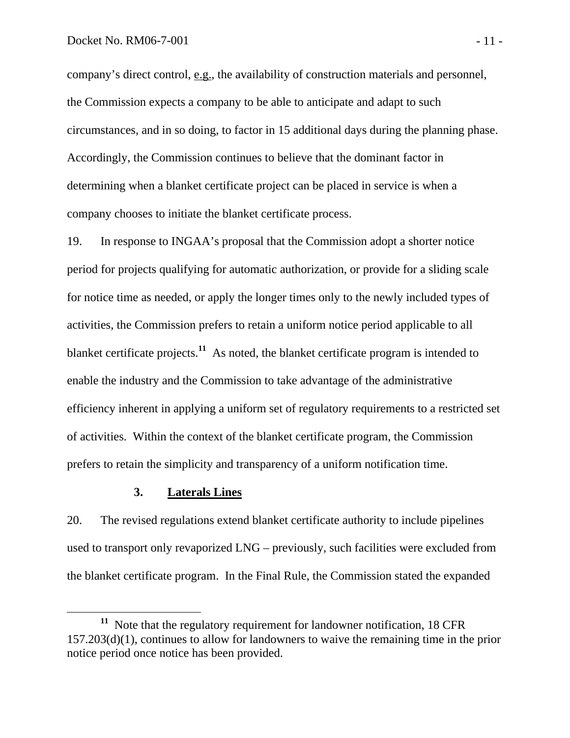company's direct control, e.g., the availability of construction materials and personnel, the Commission expects a company to be able to anticipate and adapt to such circumstances, and in so doing, to factor in 15 additional days during the planning phase. Accordingly, the Commission continues to believe that the dominant factor in determining when a blanket certificate project can be placed in service is when a company chooses to initiate the blanket certificate process.

19. In response to INGAA's proposal that the Commission adopt a shorter notice period for projects qualifying for automatic authorization, or provide for a sliding scale for notice time as needed, or apply the longer times only to the newly included types of activities, the Commission prefers to retain a uniform notice period applicable to all blanket certificate projects.<sup>11</sup> As noted, the blanket certificate program is intended to enable the industry and the Commission to take advantage of the administrative efficiency inherent in applying a uniform set of regulatory requirements to a restricted set of activities. Within the context of the blanket certificate program, the Commission prefers to retain the simplicity and transparency of a uniform notification time.

### **3. Laterals Lines**

20. The revised regulations extend blanket certificate authority to include pipelines used to transport only revaporized LNG – previously, such facilities were excluded from the blanket certificate program. In the Final Rule, the Commission stated the expanded

**<sup>11</sup>** Note that the regulatory requirement for landowner notification, 18 CFR 157.203(d)(1), continues to allow for landowners to waive the remaining time in the prior notice period once notice has been provided.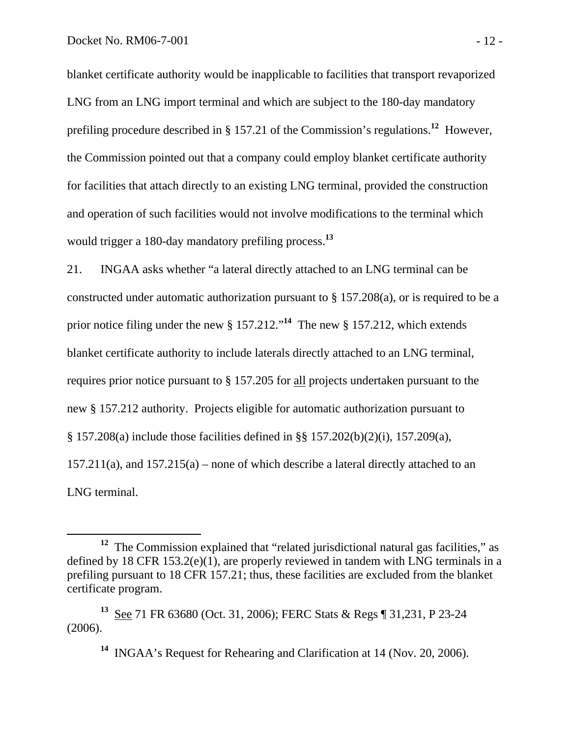blanket certificate authority would be inapplicable to facilities that transport revaporized LNG from an LNG import terminal and which are subject to the 180-day mandatory prefiling procedure described in § 157.21 of the Commission's regulations.**<sup>12</sup>** However, the Commission pointed out that a company could employ blanket certificate authority for facilities that attach directly to an existing LNG terminal, provided the construction and operation of such facilities would not involve modifications to the terminal which would trigger a 180-day mandatory prefiling process.**<sup>13</sup>**

21. INGAA asks whether "a lateral directly attached to an LNG terminal can be constructed under automatic authorization pursuant to § 157.208(a), or is required to be a prior notice filing under the new § 157.212."**<sup>14</sup>** The new § 157.212, which extends blanket certificate authority to include laterals directly attached to an LNG terminal, requires prior notice pursuant to § 157.205 for all projects undertaken pursuant to the new § 157.212 authority. Projects eligible for automatic authorization pursuant to § 157.208(a) include those facilities defined in §§ 157.202(b)(2)(i), 157.209(a), 157.211(a), and 157.215(a) – none of which describe a lateral directly attached to an LNG terminal.

<sup>&</sup>lt;sup>12</sup> The Commission explained that "related jurisdictional natural gas facilities," as defined by 18 CFR 153.2(e)(1), are properly reviewed in tandem with LNG terminals in a prefiling pursuant to 18 CFR 157.21; thus, these facilities are excluded from the blanket certificate program.

**<sup>13</sup>** See 71 FR 63680 (Oct. 31, 2006); FERC Stats & Regs ¶ 31,231, P 23-24 (2006).

**<sup>14</sup>** INGAA's Request for Rehearing and Clarification at 14 (Nov. 20, 2006).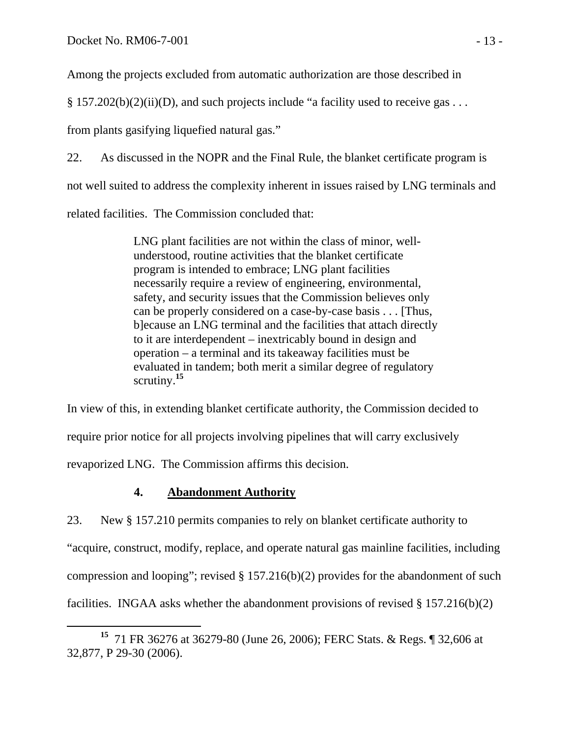Among the projects excluded from automatic authorization are those described in

 $\S 157.202(b)(2)(ii)(D)$ , and such projects include "a facility used to receive gas ...

from plants gasifying liquefied natural gas."

22. As discussed in the NOPR and the Final Rule, the blanket certificate program is not well suited to address the complexity inherent in issues raised by LNG terminals and related facilities. The Commission concluded that:

> LNG plant facilities are not within the class of minor, wellunderstood, routine activities that the blanket certificate program is intended to embrace; LNG plant facilities necessarily require a review of engineering, environmental, safety, and security issues that the Commission believes only can be properly considered on a case-by-case basis . . . [Thus, b]ecause an LNG terminal and the facilities that attach directly to it are interdependent – inextricably bound in design and operation – a terminal and its takeaway facilities must be evaluated in tandem; both merit a similar degree of regulatory scrutiny.**<sup>15</sup>**

In view of this, in extending blanket certificate authority, the Commission decided to require prior notice for all projects involving pipelines that will carry exclusively revaporized LNG. The Commission affirms this decision.

# **4. Abandonment Authority**

23. New § 157.210 permits companies to rely on blanket certificate authority to "acquire, construct, modify, replace, and operate natural gas mainline facilities, including compression and looping"; revised  $\S 157.216(b)(2)$  provides for the abandonment of such facilities. INGAA asks whether the abandonment provisions of revised  $\S 157.216(b)(2)$ 

**<sup>15</sup>** 71 FR 36276 at 36279-80 (June 26, 2006); FERC Stats. & Regs. ¶ 32,606 at 32,877, P 29-30 (2006).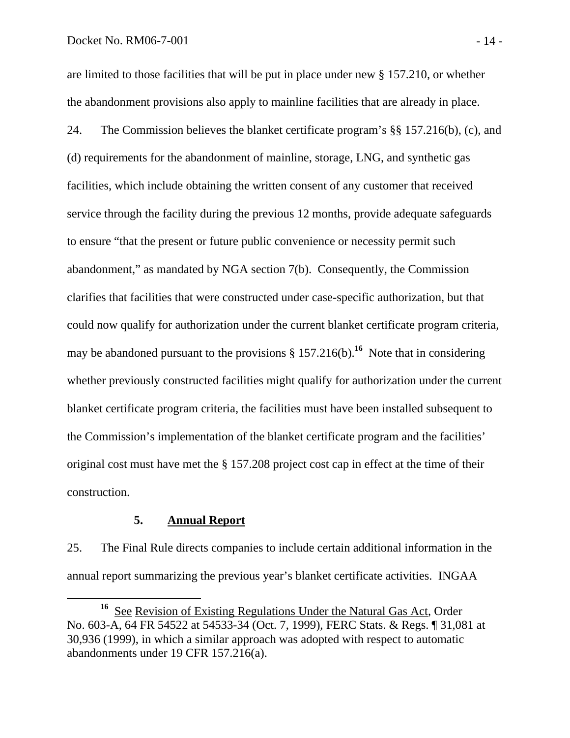are limited to those facilities that will be put in place under new § 157.210, or whether the abandonment provisions also apply to mainline facilities that are already in place.

24. The Commission believes the blanket certificate program's §§ 157.216(b), (c), and (d) requirements for the abandonment of mainline, storage, LNG, and synthetic gas facilities, which include obtaining the written consent of any customer that received service through the facility during the previous 12 months, provide adequate safeguards to ensure "that the present or future public convenience or necessity permit such abandonment," as mandated by NGA section 7(b). Consequently, the Commission clarifies that facilities that were constructed under case-specific authorization, but that could now qualify for authorization under the current blanket certificate program criteria, may be abandoned pursuant to the provisions  $\S 157.216(b)$ .<sup>16</sup> Note that in considering whether previously constructed facilities might qualify for authorization under the current blanket certificate program criteria, the facilities must have been installed subsequent to the Commission's implementation of the blanket certificate program and the facilities' original cost must have met the § 157.208 project cost cap in effect at the time of their construction.

#### **5. Annual Report**

25. The Final Rule directs companies to include certain additional information in the annual report summarizing the previous year's blanket certificate activities. INGAA

**<sup>16</sup>** See Revision of Existing Regulations Under the Natural Gas Act, Order No. 603-A, 64 FR 54522 at 54533-34 (Oct. 7, 1999), FERC Stats. & Regs. ¶ 31,081 at 30,936 (1999), in which a similar approach was adopted with respect to automatic abandonments under 19 CFR 157.216(a).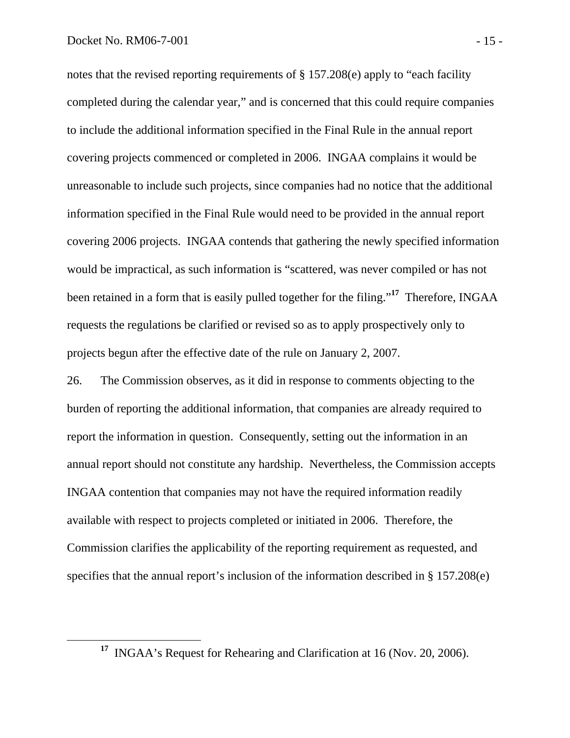notes that the revised reporting requirements of § 157.208(e) apply to "each facility completed during the calendar year," and is concerned that this could require companies to include the additional information specified in the Final Rule in the annual report covering projects commenced or completed in 2006. INGAA complains it would be unreasonable to include such projects, since companies had no notice that the additional information specified in the Final Rule would need to be provided in the annual report covering 2006 projects. INGAA contends that gathering the newly specified information would be impractical, as such information is "scattered, was never compiled or has not been retained in a form that is easily pulled together for the filing."**<sup>17</sup>** Therefore, INGAA requests the regulations be clarified or revised so as to apply prospectively only to projects begun after the effective date of the rule on January 2, 2007.

26. The Commission observes, as it did in response to comments objecting to the burden of reporting the additional information, that companies are already required to report the information in question. Consequently, setting out the information in an annual report should not constitute any hardship. Nevertheless, the Commission accepts INGAA contention that companies may not have the required information readily available with respect to projects completed or initiated in 2006. Therefore, the Commission clarifies the applicability of the reporting requirement as requested, and specifies that the annual report's inclusion of the information described in § 157.208(e)

**<sup>17</sup>** INGAA's Request for Rehearing and Clarification at 16 (Nov. 20, 2006).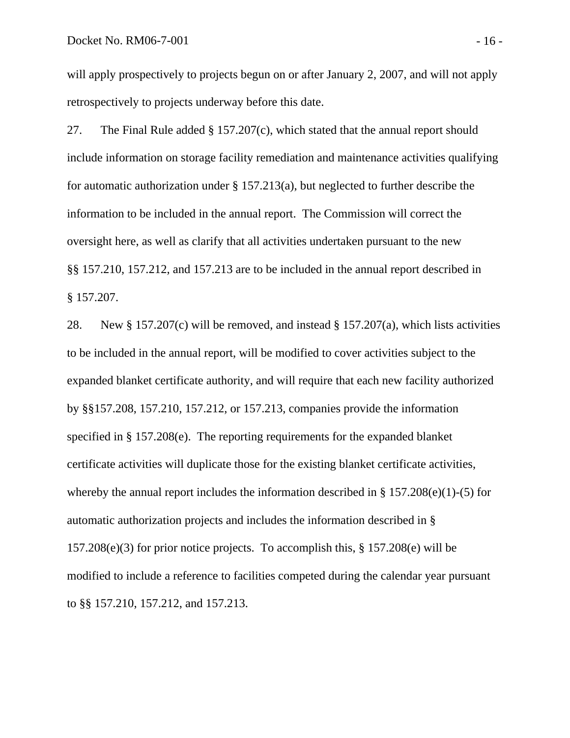will apply prospectively to projects begun on or after January 2, 2007, and will not apply retrospectively to projects underway before this date.

27. The Final Rule added § 157.207(c), which stated that the annual report should include information on storage facility remediation and maintenance activities qualifying for automatic authorization under § 157.213(a), but neglected to further describe the information to be included in the annual report. The Commission will correct the oversight here, as well as clarify that all activities undertaken pursuant to the new §§ 157.210, 157.212, and 157.213 are to be included in the annual report described in § 157.207.

28. New § 157.207(c) will be removed, and instead § 157.207(a), which lists activities to be included in the annual report, will be modified to cover activities subject to the expanded blanket certificate authority, and will require that each new facility authorized by §§157.208, 157.210, 157.212, or 157.213, companies provide the information specified in § 157.208(e). The reporting requirements for the expanded blanket certificate activities will duplicate those for the existing blanket certificate activities, whereby the annual report includes the information described in § 157.208(e)(1)-(5) for automatic authorization projects and includes the information described in § 157.208(e)(3) for prior notice projects. To accomplish this, § 157.208(e) will be modified to include a reference to facilities competed during the calendar year pursuant to §§ 157.210, 157.212, and 157.213.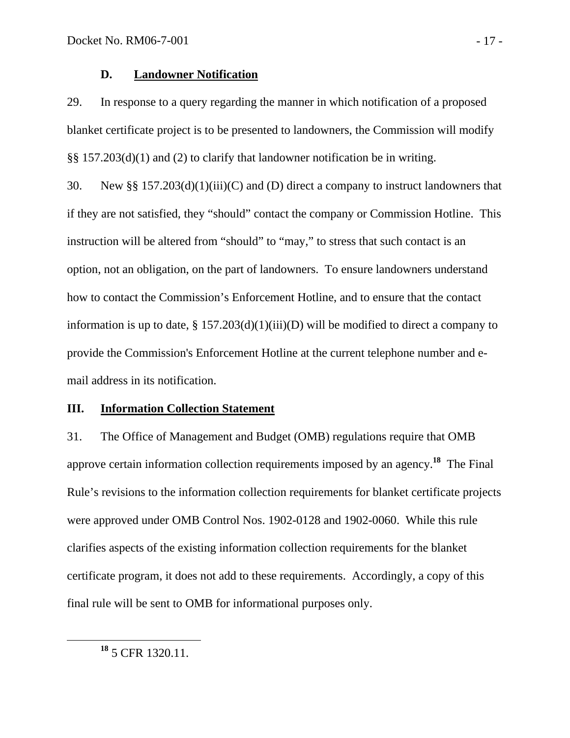#### **D. Landowner Notification**

29. In response to a query regarding the manner in which notification of a proposed blanket certificate project is to be presented to landowners, the Commission will modify §§ 157.203(d)(1) and (2) to clarify that landowner notification be in writing.

30. New §§ 157.203(d)(1)(iii)(C) and (D) direct a company to instruct landowners that if they are not satisfied, they "should" contact the company or Commission Hotline. This instruction will be altered from "should" to "may," to stress that such contact is an option, not an obligation, on the part of landowners. To ensure landowners understand how to contact the Commission's Enforcement Hotline, and to ensure that the contact information is up to date,  $\S 157.203(d)(1)(iii)(D)$  will be modified to direct a company to provide the Commission's Enforcement Hotline at the current telephone number and email address in its notification.

#### **III. Information Collection Statement**

31. The Office of Management and Budget (OMB) regulations require that OMB approve certain information collection requirements imposed by an agency.**<sup>18</sup>** The Final Rule's revisions to the information collection requirements for blanket certificate projects were approved under OMB Control Nos. 1902-0128 and 1902-0060. While this rule clarifies aspects of the existing information collection requirements for the blanket certificate program, it does not add to these requirements. Accordingly, a copy of this final rule will be sent to OMB for informational purposes only.

**<sup>18</sup>** 5 CFR 1320.11.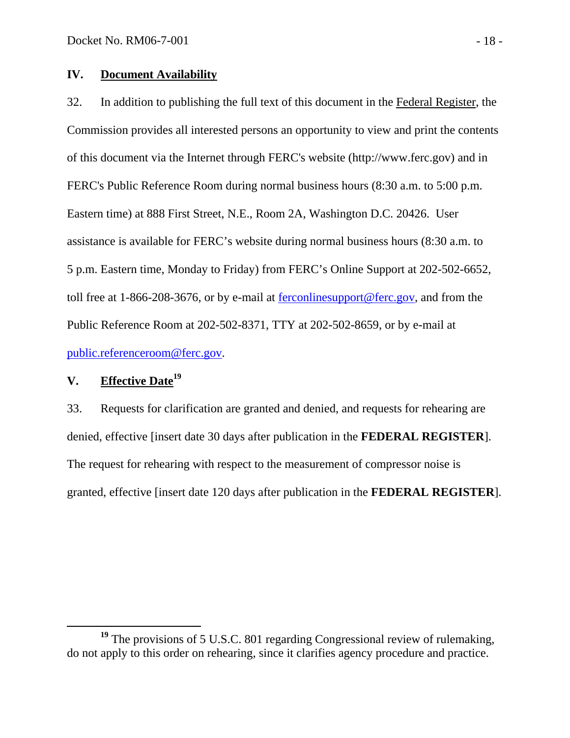## **IV. Document Availability**

32. In addition to publishing the full text of this document in the Federal Register, the Commission provides all interested persons an opportunity to view and print the contents of this document via the Internet through FERC's website (http://www.ferc.gov) and in FERC's Public Reference Room during normal business hours (8:30 a.m. to 5:00 p.m. Eastern time) at 888 First Street, N.E., Room 2A, Washington D.C. 20426. User assistance is available for FERC's website during normal business hours (8:30 a.m. to 5 p.m. Eastern time, Monday to Friday) from FERC's Online Support at 202-502-6652, toll free at 1-866-208-3676, or by e-mail at ferconlinesupport@ferc.gov, and from the Public Reference Room at 202-502-8371, TTY at 202-502-8659, or by e-mail at public.referenceroom@ferc.gov.

# **V. Effective Date19**

33. Requests for clarification are granted and denied, and requests for rehearing are denied, effective [insert date 30 days after publication in the **FEDERAL REGISTER**]. The request for rehearing with respect to the measurement of compressor noise is granted, effective [insert date 120 days after publication in the **FEDERAL REGISTER**].

<sup>&</sup>lt;sup>19</sup> The provisions of 5 U.S.C. 801 regarding Congressional review of rulemaking, do not apply to this order on rehearing, since it clarifies agency procedure and practice.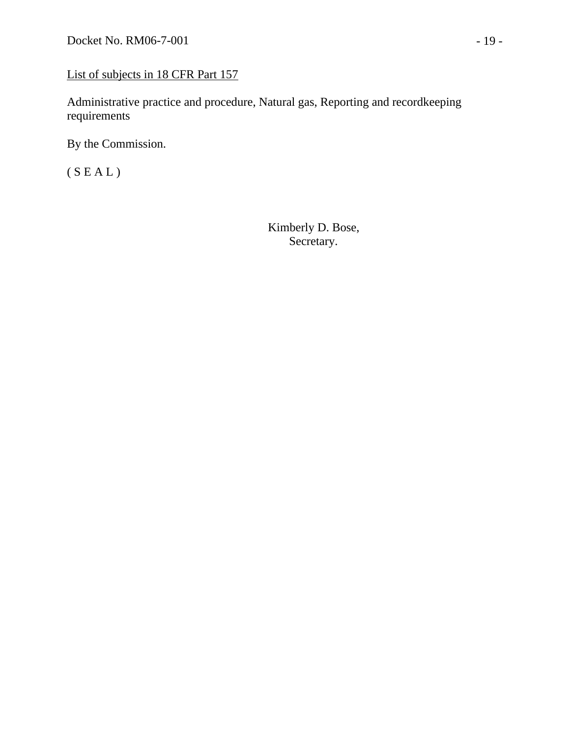# List of subjects in 18 CFR Part 157

Administrative practice and procedure, Natural gas, Reporting and recordkeeping requirements

By the Commission.

(  ${\cal S}$  E A L )

Kimberly D. Bose, Secretary.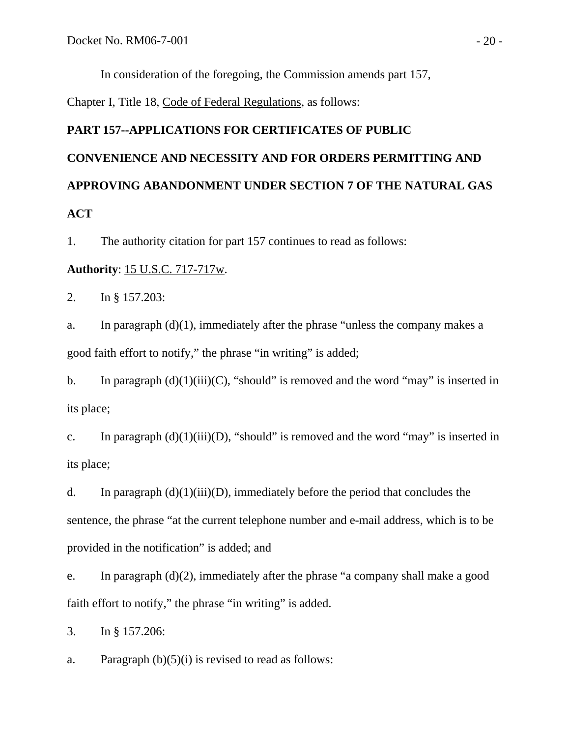In consideration of the foregoing, the Commission amends part 157,

Chapter I, Title 18, Code of Federal Regulations, as follows:

# **PART 157--APPLICATIONS FOR CERTIFICATES OF PUBLIC CONVENIENCE AND NECESSITY AND FOR ORDERS PERMITTING AND APPROVING ABANDONMENT UNDER SECTION 7 OF THE NATURAL GAS ACT**

1. The authority citation for part 157 continues to read as follows:

#### **Authority**: 15 U.S.C. 717-717w.

2. In § 157.203:

a. In paragraph (d)(1), immediately after the phrase "unless the company makes a good faith effort to notify," the phrase "in writing" is added;

b. In paragraph  $(d)(1)(iii)(C)$ , "should" is removed and the word "may" is inserted in its place;

c. In paragraph  $(d)(1)(iii)(D)$ , "should" is removed and the word "may" is inserted in its place;

d. In paragraph  $(d)(1)(iii)(D)$ , immediately before the period that concludes the sentence, the phrase "at the current telephone number and e-mail address, which is to be provided in the notification" is added; and

e. In paragraph (d)(2), immediately after the phrase "a company shall make a good faith effort to notify," the phrase "in writing" is added.

3. In § 157.206:

a. Paragraph  $(b)(5)(i)$  is revised to read as follows: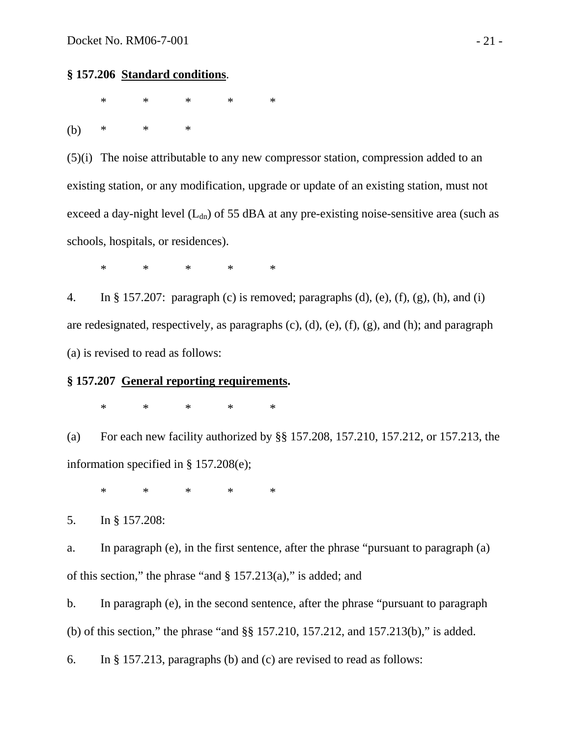#### **§ 157.206 Standard conditions**.

 $\ast$   $\ast$   $\ast$   $\ast$   $\ast$ (b) \* \* \*

(5)(i) The noise attributable to any new compressor station, compression added to an existing station, or any modification, upgrade or update of an existing station, must not exceed a day-night level  $(L_{dn})$  of 55 dBA at any pre-existing noise-sensitive area (such as schools, hospitals, or residences).

\* \* \* \* \*

4. In § 157.207: paragraph (c) is removed; paragraphs (d), (e), (f), (g), (h), and (i) are redesignated, respectively, as paragraphs (c), (d), (e), (f), (g), and (h); and paragraph (a) is revised to read as follows:

## **§ 157.207 General reporting requirements.**

 $\ast$   $\ast$   $\ast$   $\ast$   $\ast$ 

(a) For each new facility authorized by §§ 157.208, 157.210, 157.212, or 157.213, the information specified in § 157.208(e);

 $\ast$   $\ast$   $\ast$   $\ast$   $\ast$ 

5. In § 157.208:

a. In paragraph (e), in the first sentence, after the phrase "pursuant to paragraph (a) of this section," the phrase "and  $\S 157.213(a)$ ," is added; and

b. In paragraph (e), in the second sentence, after the phrase "pursuant to paragraph (b) of this section," the phrase "and §§ 157.210, 157.212, and 157.213(b)," is added.

6. In § 157.213, paragraphs (b) and (c) are revised to read as follows: